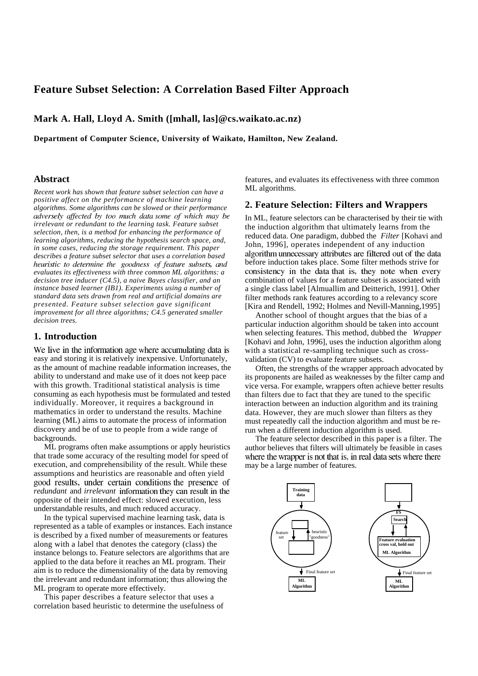# **Feature Subset Selection: A Correlation Based Filter Approach**

**Mark A. Hall, Lloyd A. Smith ([mhall, las]@cs.waikato.ac.nz)**

**Department of Computer Science, University of Waikato, Hamilton, New Zealand.**

#### **Abstract**

*Recent work has shown that feature subset selection can have a positive affect on the performance of machine learning algorithms. Some algorithms can be slowed or their performance irrelevant or redundant to the learning task. Feature subset selection, then, is a method for enhancing the performance of learning algorithms, reducing the hypothesis search space, and, in some cases, reducing the storage requirement. This paper describes a feature subset selector that uses a correlation based evaluates its effectiveness with three common ML algorithms: a decision tree inducer (C4.5), a naive Bayes classifier, and an instance based learner (IB1). Experiments using a number of standard data sets drawn from real and artificial domains are presented. Feature subset selection gave significant improvement for all three algorithms; C4.5 generated smaller decision trees.*

## **1. Introduction**

We live in the information age where accumulating data is easy and storing it is relatively inexpensive. Unfortunately, as the amount of machine readable information increases, the ability to understand and make use of it does not keep pace with this growth. Traditional statistical analysis is time consuming as each hypothesis must be formulated and tested individually. Moreover, it requires a background in mathematics in order to understand the results. Machine learning (ML) aims to automate the process of information discovery and be of use to people from a wide range of backgrounds.

ML programs often make assumptions or apply heuristics that trade some accuracy of the resulting model for speed of execution, and comprehensibility of the result. While these assumptions and heuristics are reasonable and often yield *redundant* and *irrelevant* opposite of their intended effect: slowed execution, less understandable results, and much reduced accuracy.

In the typical supervised machine learning task, data is represented as a table of examples or instances. Each instance is described by a fixed number of measurements or features along with a label that denotes the category (class) the instance belongs to. Feature selectors are algorithms that are applied to the data before it reaches an ML program. Their aim is to reduce the dimensionality of the data by removing the irrelevant and redundant information; thus allowing the ML program to operate more effectively.

This paper describes a feature selector that uses a correlation based heuristic to determine the usefulness of features, and evaluates its effectiveness with three common ML algorithms.

### **2. Feature Selection: Filters and Wrappers**

In ML, feature selectors can be characterised by their tie with the induction algorithm that ultimately learns from the reduced data. One paradigm, dubbed the *Filter* [Kohavi and John, 1996], operates independent of any induction algorithm unnecessary attributes are filtered out of the data before induction takes place. Some filter methods strive for consistency in the data that is, they note when every combination of values for a feature subset is associated with a single class label [Almuallim and Deitterich, 1991]. Other filter methods rank features according to a relevancy score [Kira and Rendell, 1992; Holmes and Nevill-Manning, 1995]

Another school of thought argues that the bias of a particular induction algorithm should be taken into account when selecting features. This method, dubbed the *Wrapper* [Kohavi and John, 1996], uses the induction algorithm along with a statistical re-sampling technique such as crossvalidation (CV) to evaluate feature subsets.

Often, the strengths of the wrapper approach advocated by its proponents are hailed as weaknesses by the filter camp and vice versa. For example, wrappers often achieve better results than filters due to fact that they are tuned to the specific interaction between an induction algorithm and its training data. However, they are much slower than filters as they must repeatedly call the induction algorithm and must be rerun when a different induction algorithm is used.

The feature selector described in this paper is a filter. The author believes that filters will ultimately be feasible in cases where the wrapper is not that is, in real data sets where there may be a large number of features.

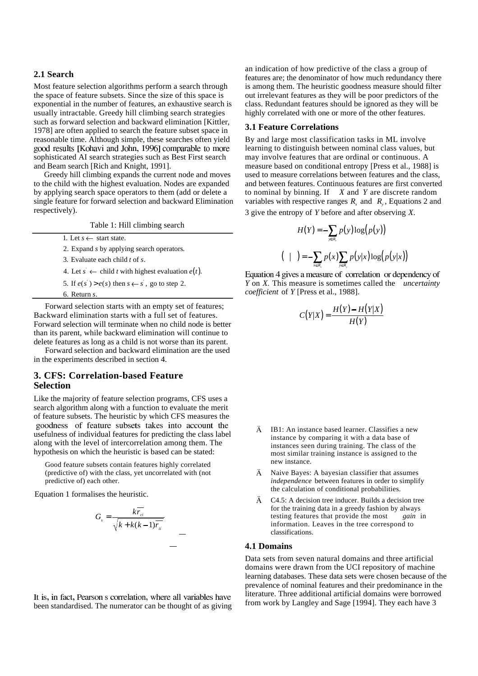#### **2.1 Search**

Most feature selection algorithms perform a search through the space of feature subsets. Since the size of this space is exponential in the number of features, an exhaustive search is usually intractable. Greedy hill climbing search strategies such as forward selection and backward elimination [Kittler, 1978] are often applied to search the feature subset space in reasonable time. Although simple, these searches often yield<br>good results [Kohavi and John, 1996] comparable to more sophisticated AI search strategies such as Best First search and Beam search [Rich and Knight, 1991].

Greedy hill climbing expands the current node and moves to the child with the highest evaluation. Nodes are expanded by applying search space operators to them (add or delete a single feature for forward selection and backward Elimination respectively).

| Table 1: Hill climbing search |  |  |  |  |  |
|-------------------------------|--|--|--|--|--|
|-------------------------------|--|--|--|--|--|

| 1. Let $s \leftarrow$ start state.                                                                             |
|----------------------------------------------------------------------------------------------------------------|
| 2. Expand s by applying search operators.                                                                      |
| 3. Evaluate each child t of s.                                                                                 |
| 4. Let $s \leftarrow$ child t with highest evaluation $e(t)$ .                                                 |
| in the state of the state of the state of the state of the state of the state of the state of the state of the |

5. If  $e(s) > e(s)$  then  $s \leftarrow s$ , go to step 2.

```
6. Return s.
```
Forward selection starts with an empty set of features; Backward elimination starts with a full set of features. Forward selection will terminate when no child node is better than its parent, while backward elimination will continue to delete features as long as a child is not worse than its parent.

Forward selection and backward elimination are the used in the experiments described in section 4.

## **3. CFS: Correlation-based Feature Selection**

Like the majority of feature selection programs, CFS uses a search algorithm along with a function to evaluate the merit of feature subsets. The heuristic by which CFS measures the goodness of feature subsets takes into account the usefulness of individual features for predicting the class label along with the level of intercorrelation among them. The hypothesis on which the heuristic is based can be stated:

Good feature subsets contain features highly correlated (predictive of) with the class, yet uncorrelated with (not predictive of) each other.

Equation 1 formalises the heuristic.

$$
G_s = \frac{k\overline{r_{ci}}}{\sqrt{k + k(k-1)\overline{r_{ii}}}}
$$

It is, in fact, Pearson s correlation, where all variables have been standardised. The numerator can be thought of as giving an indication of how predictive of the class a group of features are; the denominator of how much redundancy there is among them. The heuristic goodness measure should filter out irrelevant features as they will be poor predictors of the class. Redundant features should be ignored as they will be highly correlated with one or more of the other features.

#### **3.1 Feature Correlations**

By and large most classification tasks in ML involve learning to distinguish between nominal class values, but may involve features that are ordinal or continuous. A measure based on conditional entropy [Press et al., 1988] is used to measure correlations between features and the class, and between features. Continuous features are first converted to nominal by binning. If *X* and *Y* are discrete random variables with respective ranges  $R_x$  and  $R_y$ , Equations 2 and 3 give the entropy of *Y* before and after observing *X*.

$$
H(Y) = -\sum_{y \in R_j} p(y) \log(p(y))
$$
  
(
$$
|\quad) = -\sum_{x \in R_j} p(x) \sum_{y \in R_j} p(y|x) \log(p(y|x))
$$

Equation 4 gives a measure of correlation or dependency of *Y* on *X.* This measure is sometimes called the *uncertainty coefficient* of *Y* [Press et al., 1988].

$$
C(Y|X) = \frac{H(Y) - H(Y|X)}{H(Y)}
$$

- $\ddot{A}$  IB1: An instance based learner. Classifies a new instance by comparing it with a data base of instances seen during training. The class of the most similar training instance is assigned to the new instance.
- Ä Naive Bayes: A bayesian classifier that assumes *independence* between features in order to simplify the calculation of conditional probabilities.
- Ä C4.5: A decision tree inducer. Builds a decision tree for the training data in a greedy fashion by always testing features that provide the most *gain* in information. Leaves in the tree correspond to classifications.

#### **4.1 Domains**

Data sets from seven natural domains and three artificial domains were drawn from the UCI repository of machine learning databases. These data sets were chosen because of the prevalence of nominal features and their predominance in the literature. Three additional artificial domains were borrowed from work by Langley and Sage [1994]. They each have 3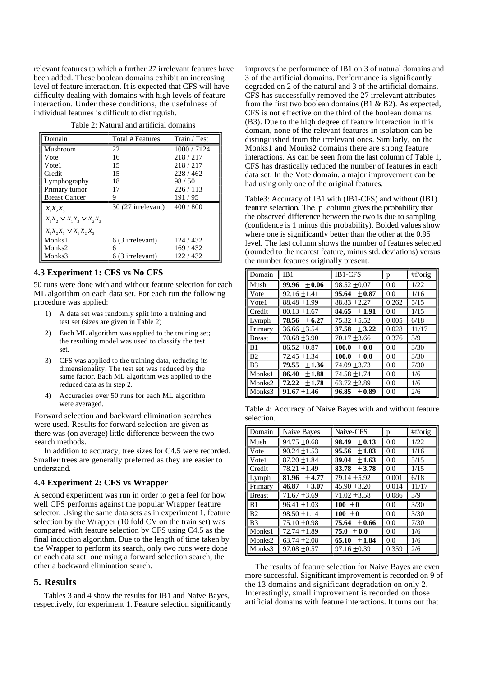relevant features to which a further 27 irrelevant features have been added. These boolean domains exhibit an increasing level of feature interaction. It is expected that CFS will have difficulty dealing with domains with high levels of feature interaction. Under these conditions, the usefulness of individual features is difficult to distinguish.

| Domain                           | Total # Features   | Train / Test |
|----------------------------------|--------------------|--------------|
| Mushroom                         | 22                 | 1000/7124    |
| Vote                             | 16                 | 218/217      |
| Vote1                            | 15                 | 218/217      |
| Credit                           | 15                 | 228/462      |
| Lymphography                     | 18                 | 98/50        |
| Primary tumor                    | 17                 | 226/113      |
| <b>Breast Cancer</b>             | 9                  | 191/95       |
| $x_1x_2, x_3$                    | 30 (27 irrelevant) | 400 / 800    |
| $x_1x_2 \vee x_1x_3 \vee x_2x_3$ |                    |              |
| $x_1x_2x_3 \vee x_1x_2$          |                    |              |
| Monks1                           | 6 (3 irrelevant)   | 124/432      |
| Monks2                           | 6                  | 169/432      |
| Monks3                           | 6 (3 irrelevant)   | 122/432      |

Table 2: Natural and artificial domains

## **4.3 Experiment 1: CFS vs No CFS**

50 runs were done with and without feature selection for each ML algorithm on each data set. For each run the following procedure was applied:

- 1) A data set was randomly split into a training and test set (sizes are given in Table 2)
- 2) Each ML algorithm was applied to the training set; the resulting model was used to classify the test set.
- 3) CFS was applied to the training data, reducing its dimensionality. The test set was reduced by the same factor. Each ML algorithm was applied to the reduced data as in step 2.
- 4) Accuracies over 50 runs for each ML algorithm were averaged.

Forward selection and backward elimination searches were used. Results for forward selection are given as there was (on average) little difference between the two search methods.

In addition to accuracy, tree sizes for C4.5 were recorded. Smaller trees are generally preferred as they are easier to understand.

## **4.4 Experiment 2: CFS vs Wrapper**

A second experiment was run in order to get a feel for how well CFS performs against the popular Wrapper feature selector. Using the same data sets as in experiment 1, feature selection by the Wrapper (10 fold CV on the train set) was compared with feature selection by CFS using C4.5 as the final induction algorithm. Due to the length of time taken by the Wrapper to perform its search, only two runs were done on each data set: one using a forward selection search, the other a backward elimination search.

## **5. Results**

Tables 3 and 4 show the results for IB1 and Naive Bayes, respectively, for experiment 1. Feature selection significantly

improves the performance of IB1 on 3 of natural domains and 3 of the artificial domains. Performance is significantly degraded on 2 of the natural and 3 of the artificial domains. CFS has successfully removed the 27 irrelevant attributes from the first two boolean domains (B1 & B2). As expected, CFS is not effective on the third of the boolean domains (B3). Due to the high degree of feature interaction in this domain, none of the relevant features in isolation can be distinguished from the irrelevant ones. Similarly, on the Monks1 and Monks2 domains there are strong feature interactions. As can be seen from the last column of Table 1, CFS has drastically reduced the number of features in each data set. In the Vote domain, a major improvement can be had using only one of the original features.

Table3: Accuracy of IB1 with (IB1-CFS) and without (IB1) feature selection. The p column gives the probability that the observed difference between the two is due to sampling (confidence is 1 minus this probability). Bolded values show where one is significantly better than the other at the 0.95 level. The last column shows the number of features selected (rounded to the nearest feature, minus std. deviations) versus the number features originally present.

| Domain         | IB <sub>1</sub>  | <b>IB1-CFS</b>   | p     | #f/orig |
|----------------|------------------|------------------|-------|---------|
| Mush           | 99.96 $\pm 0.06$ | $98.52 \pm 0.07$ | 0.0   | 1/22    |
| Vote           | $92.16 \pm 1.41$ | $95.64 + 0.87$   | 0.0   | 1/16    |
| Vote1          | $88.48 \pm 1.99$ | $88.83 \pm 2.27$ | 0.262 | 5/15    |
| Credit         | $80.13 \pm 1.67$ | $84.65 \pm 1.91$ | 0.0   | 1/15    |
| Lymph          | $78.56 \pm 6.27$ | $75.32 + 5.52$   | 0.005 | 6/18    |
| Primary        | 36.66 ±3.54      | $37.58 \pm 3.22$ | 0.028 | 11/17   |
| <b>Breast</b>  | 70.68 ±3.90      | $70.17 \pm 3.66$ | 0.376 | 3/9     |
| B1             | $86.52 + 0.87$   | $100.0 + 0.0$    | 0.0   | 3/30    |
| B2             | $72.45 + 1.34$   | 100.0<br>$+0.0$  | 0.0   | 3/30    |
| B <sub>3</sub> | $79.55 \pm 1.36$ | $74.09 \pm 3.73$ | 0.0   | 7/30    |
| Monks1         | $86.40 + 1.88$   | $74.58 \pm 1.74$ | 0.0   | 1/6     |
| Monks2         | $72.22 + 1.78$   | $63.72 \pm 2.89$ | 0.0   | 1/6     |
| Monks3         | $91.67 \pm 1.46$ | $96.85 \pm 0.89$ | 0.0   | 2/6     |

Table 4: Accuracy of Naive Bayes with and without feature selection.

| Domain         | Naive Bayes      | Naive-CFS           | p     | #f/orig |
|----------------|------------------|---------------------|-------|---------|
| Mush           | $94.75 \pm 0.68$ | 98.49<br>± 0.13     | 0.0   | 1/22    |
| Vote           | $90.24 + 1.53$   | 95.56<br>$+1.03$    | 0.0   | 1/16    |
| Vote1          | $87.20 \pm 1.84$ | 89.04<br>$+1.63$    | 0.0   | 5/15    |
| Credit         | 78.21 ±1.49      | $\pm$ 3.78<br>83.78 | 0.0   | 1/15    |
| Lymph          | 81.96<br>$+4.77$ | $79.14 \pm 5.92$    | 0.001 | 6/18    |
| Primary        | 46.87<br>$+3.07$ | $45.90 \pm 3.20$    | 0.014 | 11/17   |
| <b>Breast</b>  | $71.67 \pm 3.69$ | $71.02 \pm 3.58$    | 0.086 | 3/9     |
| B1             | $96.41 \pm 1.03$ | $100 \pm 0$         | 0.0   | 3/30    |
| B <sub>2</sub> | $98.50 \pm 1.14$ | $100 + 0$           | 0.0   | 3/30    |
| B <sub>3</sub> | $75.10 \pm 0.98$ | $\pm 0.66$<br>75.64 | 0.0   | 7/30    |
| Monks1         | 72.74 ±1.89      | 75.0<br>$\pm 0.0$   | 0.0   | 1/6     |
| Monks2         | $63.74 \pm 2.08$ | 65.10<br>$+1.84$    | 0.0   | 1/6     |
| Monks3         | $97.08 \pm 0.57$ | $97.16 \pm 0.39$    | 0.359 | 2/6     |

The results of feature selection for Naive Bayes are even more successful. Significant improvement is recorded on 9 of the 13 domains and significant degradation on only 2. Interestingly, small improvement is recorded on those artificial domains with feature interactions. It turns out that